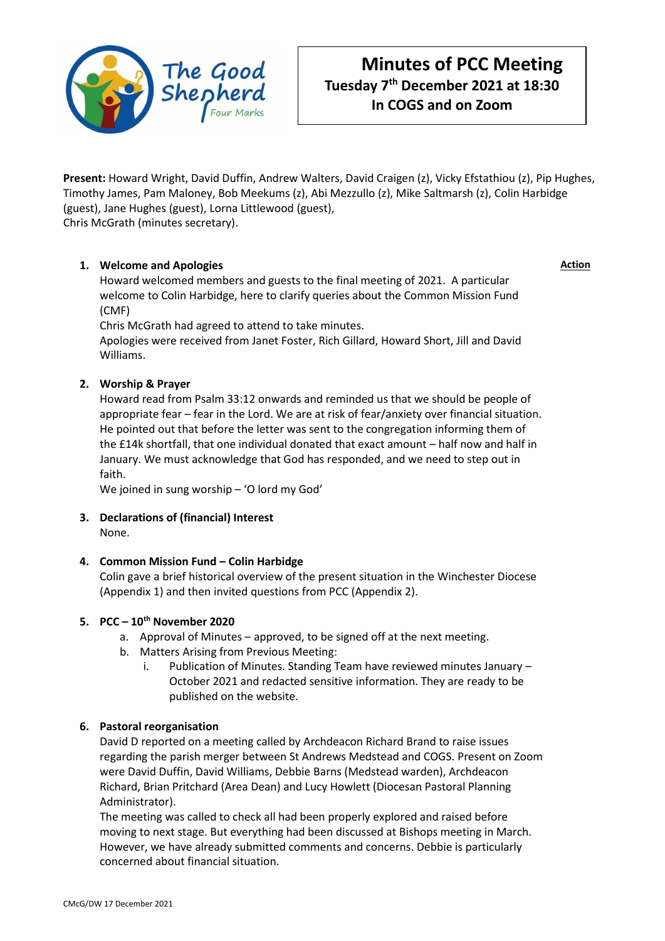

**Present:** Howard Wright, David Duffin, Andrew Walters, David Craigen (z), Vicky Efstathiou (z), Pip Hughes, Timothy James, Pam Maloney, Bob Meekums (z), Abi Mezzullo (z), Mike Saltmarsh (z), Colin Harbidge (guest), Jane Hughes (guest), Lorna Littlewood (guest), Chris McGrath (minutes secretary).

**1. Welcome and Apologies**

Howard welcomed members and guests to the final meeting of 2021. A particular welcome to Colin Harbidge, here to clarify queries about the Common Mission Fund (CMF)

Chris McGrath had agreed to attend to take minutes.

Apologies were received from Janet Foster, Rich Gillard, Howard Short, Jill and David Williams.

# **2. Worship & Prayer**

Howard read from Psalm 33:12 onwards and reminded us that we should be people of appropriate fear – fear in the Lord. We are at risk of fear/anxiety over financial situation. He pointed out that before the letter was sent to the congregation informing them of the £14k shortfall, that one individual donated that exact amount – half now and half in January. We must acknowledge that God has responded, and we need to step out in faith.

We joined in sung worship – 'O lord my God'

**3. Declarations of (financial) Interest** None.

## **4. Common Mission Fund – Colin Harbidge**

Colin gave a brief historical overview of the present situation in the Winchester Diocese (Appendix 1) and then invited questions from PCC (Appendix 2).

## **5. PCC – 10th November 2020**

- a. Approval of Minutes approved, to be signed off at the next meeting.
- b. Matters Arising from Previous Meeting:
	- i. Publication of Minutes. Standing Team have reviewed minutes January October 2021 and redacted sensitive information. They are ready to be published on the website.

## **6. Pastoral reorganisation**

David D reported on a meeting called by Archdeacon Richard Brand to raise issues regarding the parish merger between St Andrews Medstead and COGS. Present on Zoom were David Duffin, David Williams, Debbie Barns (Medstead warden), Archdeacon Richard, Brian Pritchard (Area Dean) and Lucy Howlett (Diocesan Pastoral Planning Administrator).

The meeting was called to check all had been properly explored and raised before moving to next stage. But everything had been discussed at Bishops meeting in March. However, we have already submitted comments and concerns. Debbie is particularly concerned about financial situation.

**Action**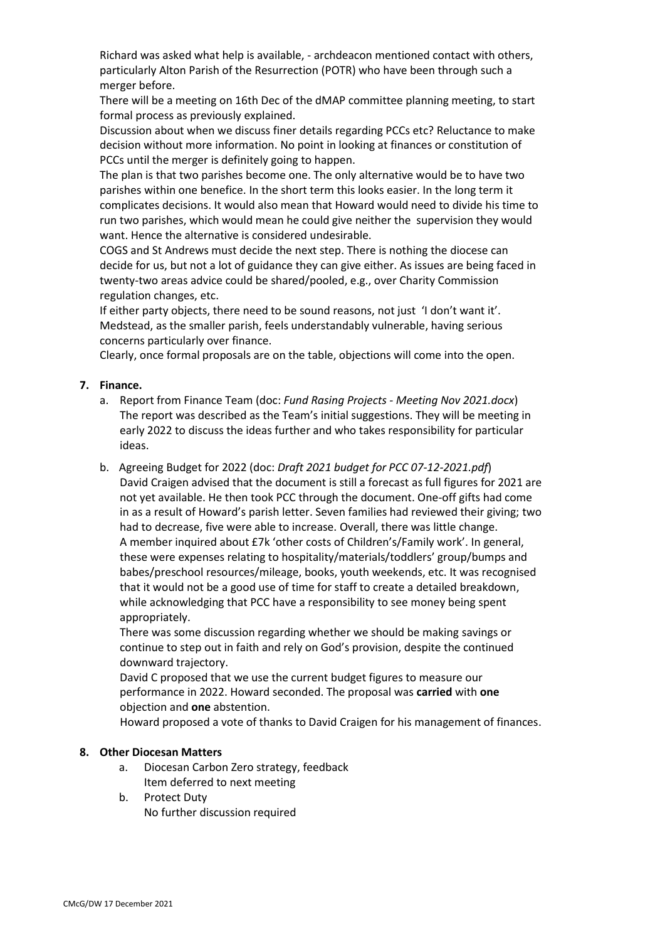Richard was asked what help is available, - archdeacon mentioned contact with others, particularly Alton Parish of the Resurrection (POTR) who have been through such a merger before.

There will be a meeting on 16th Dec of the dMAP committee planning meeting, to start formal process as previously explained.

Discussion about when we discuss finer details regarding PCCs etc? Reluctance to make decision without more information. No point in looking at finances or constitution of PCCs until the merger is definitely going to happen.

The plan is that two parishes become one. The only alternative would be to have two parishes within one benefice. In the short term this looks easier. In the long term it complicates decisions. It would also mean that Howard would need to divide his time to run two parishes, which would mean he could give neither the supervision they would want. Hence the alternative is considered undesirable.

COGS and St Andrews must decide the next step. There is nothing the diocese can decide for us, but not a lot of guidance they can give either. As issues are being faced in twenty-two areas advice could be shared/pooled, e.g., over Charity Commission regulation changes, etc.

If either party objects, there need to be sound reasons, not just 'I don't want it'. Medstead, as the smaller parish, feels understandably vulnerable, having serious concerns particularly over finance.

Clearly, once formal proposals are on the table, objections will come into the open.

## **7. Finance.**

- a. Report from Finance Team (doc: *Fund Rasing Projects - Meeting Nov 2021.docx*) The report was described as the Team's initial suggestions. They will be meeting in early 2022 to discuss the ideas further and who takes responsibility for particular ideas.
- b. Agreeing Budget for 2022 (doc: *Draft 2021 budget for PCC 07-12-2021.pdf*) David Craigen advised that the document is still a forecast as full figures for 2021 are not yet available. He then took PCC through the document. One-off gifts had come in as a result of Howard's parish letter. Seven families had reviewed their giving; two had to decrease, five were able to increase. Overall, there was little change. A member inquired about £7k 'other costs of Children's/Family work'. In general, these were expenses relating to hospitality/materials/toddlers' group/bumps and babes/preschool resources/mileage, books, youth weekends, etc. It was recognised that it would not be a good use of time for staff to create a detailed breakdown, while acknowledging that PCC have a responsibility to see money being spent appropriately.

There was some discussion regarding whether we should be making savings or continue to step out in faith and rely on God's provision, despite the continued downward trajectory.

David C proposed that we use the current budget figures to measure our performance in 2022. Howard seconded. The proposal was **carried** with **one** objection and **one** abstention.

Howard proposed a vote of thanks to David Craigen for his management of finances.

## **8. Other Diocesan Matters**

- a. Diocesan Carbon Zero strategy, feedback Item deferred to next meeting
- b. Protect Duty No further discussion required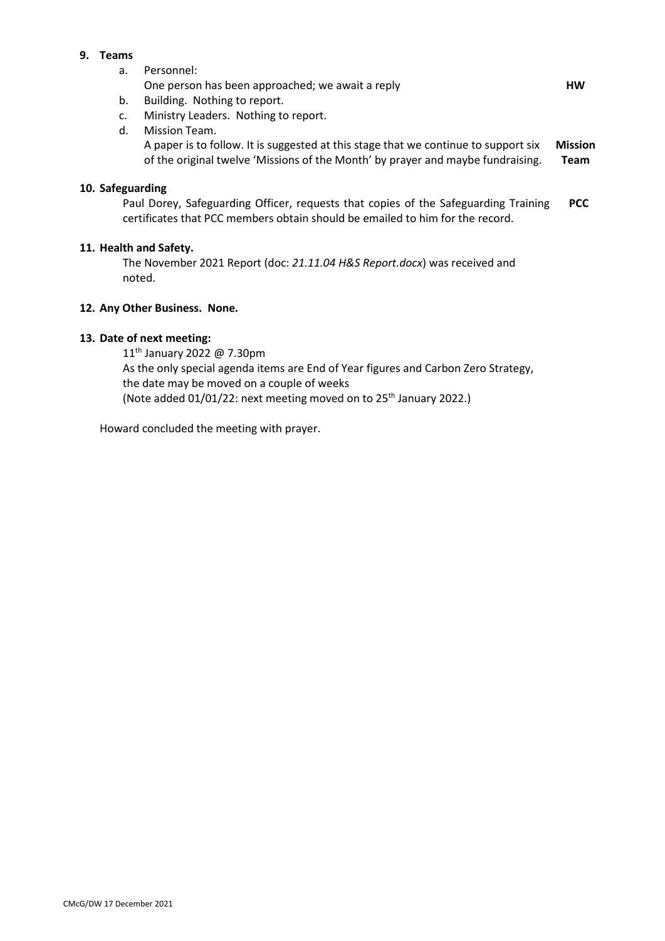# **9. Teams**

a. Personnel:

| One person has been approached; we await a reply | нw |
|--------------------------------------------------|----|
|                                                  |    |

- b. Building. Nothing to report.
- c. Ministry Leaders. Nothing to report.
- d. Mission Team. A paper is to follow. It is suggested at this stage that we continue to support six of the original twelve 'Missions of the Month' by prayer and maybe fundraising. **Mission Team**

## **10. Safeguarding**

Paul Dorey, Safeguarding Officer, requests that copies of the Safeguarding Training certificates that PCC members obtain should be emailed to him for the record. **PCC**

## **11. Health and Safety.**

The November 2021 Report (doc: *21.11.04 H&S Report.docx*) was received and noted.

#### **12. Any Other Business. None.**

#### **13. Date of next meeting:**

11<sup>th</sup> January 2022 @ 7.30pm As the only special agenda items are End of Year figures and Carbon Zero Strategy, the date may be moved on a couple of weeks (Note added 01/01/22: next meeting moved on to 25<sup>th</sup> January 2022.)

Howard concluded the meeting with prayer.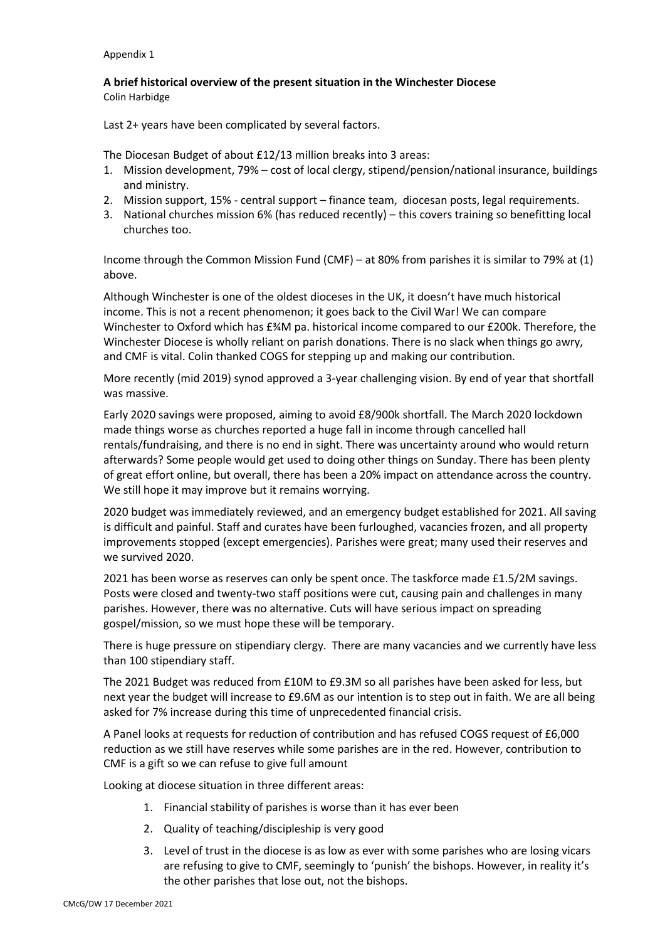#### Appendix 1

## **A brief historical overview of the present situation in the Winchester Diocese** Colin Harbidge

Last 2+ years have been complicated by several factors.

The Diocesan Budget of about £12/13 million breaks into 3 areas:

- 1. Mission development, 79% cost of local clergy, stipend/pension/national insurance, buildings and ministry.
- 2. Mission support, 15% central support finance team, diocesan posts, legal requirements.
- 3. National churches mission 6% (has reduced recently) this covers training so benefitting local churches too.

Income through the Common Mission Fund (CMF) – at 80% from parishes it is similar to 79% at (1) above.

Although Winchester is one of the oldest dioceses in the UK, it doesn't have much historical income. This is not a recent phenomenon; it goes back to the Civil War! We can compare Winchester to Oxford which has £¾M pa. historical income compared to our £200k. Therefore, the Winchester Diocese is wholly reliant on parish donations. There is no slack when things go awry, and CMF is vital. Colin thanked COGS for stepping up and making our contribution.

More recently (mid 2019) synod approved a 3-year challenging vision. By end of year that shortfall was massive.

Early 2020 savings were proposed, aiming to avoid £8/900k shortfall. The March 2020 lockdown made things worse as churches reported a huge fall in income through cancelled hall rentals/fundraising, and there is no end in sight. There was uncertainty around who would return afterwards? Some people would get used to doing other things on Sunday. There has been plenty of great effort online, but overall, there has been a 20% impact on attendance across the country. We still hope it may improve but it remains worrying.

2020 budget was immediately reviewed, and an emergency budget established for 2021. All saving is difficult and painful. Staff and curates have been furloughed, vacancies frozen, and all property improvements stopped (except emergencies). Parishes were great; many used their reserves and we survived 2020.

2021 has been worse as reserves can only be spent once. The taskforce made £1.5/2M savings. Posts were closed and twenty-two staff positions were cut, causing pain and challenges in many parishes. However, there was no alternative. Cuts will have serious impact on spreading gospel/mission, so we must hope these will be temporary.

There is huge pressure on stipendiary clergy. There are many vacancies and we currently have less than 100 stipendiary staff.

The 2021 Budget was reduced from £10M to £9.3M so all parishes have been asked for less, but next year the budget will increase to £9.6M as our intention is to step out in faith. We are all being asked for 7% increase during this time of unprecedented financial crisis.

A Panel looks at requests for reduction of contribution and has refused COGS request of £6,000 reduction as we still have reserves while some parishes are in the red. However, contribution to CMF is a gift so we can refuse to give full amount

Looking at diocese situation in three different areas:

- 1. Financial stability of parishes is worse than it has ever been
- 2. Quality of teaching/discipleship is very good
- 3. Level of trust in the diocese is as low as ever with some parishes who are losing vicars are refusing to give to CMF, seemingly to 'punish' the bishops. However, in reality it's the other parishes that lose out, not the bishops.